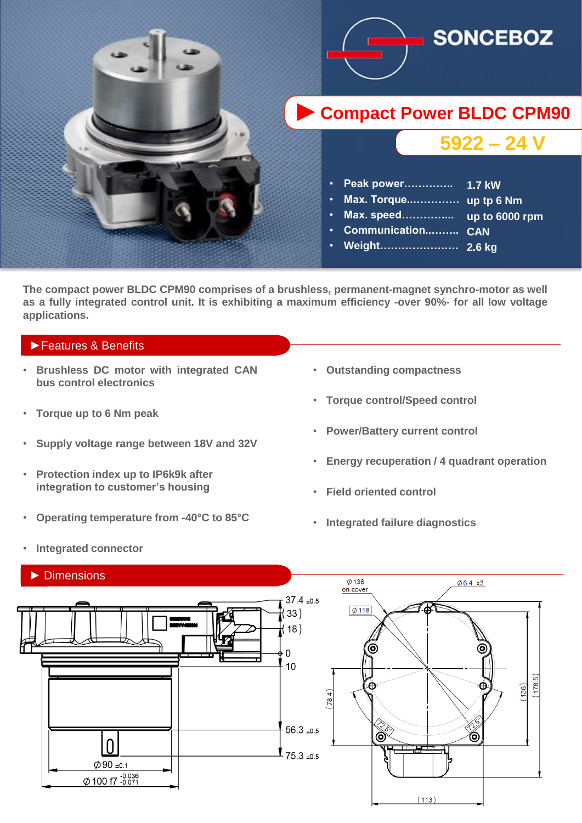

**The compact power BLDC CPM90 comprises of a brushless, permanent-magnet synchro-motor as well** as a fully integrated control unit. It is exhibiting a maximum efficiency -over 90%- for all low voltage **applications.**

### ►Features & Benefits

- **Brushless DC motor with integrated CAN bus control electronics**
- **Torque up to 6 Nm peak**
- **Supply voltage range between 18V and 32V**
- **Protection index up to IP6k9k after integration to customer's housing**
- **Operating temperature from -40°C to 85°C**
- **Outstanding compactness**
- **Torque control/Speed control**
- **Power/Battery current control**
- **Energy recuperation / 4 quadrant operation**
- **Field oriented control**
- **Integrated failure diagnostics**



• **Integrated connector**